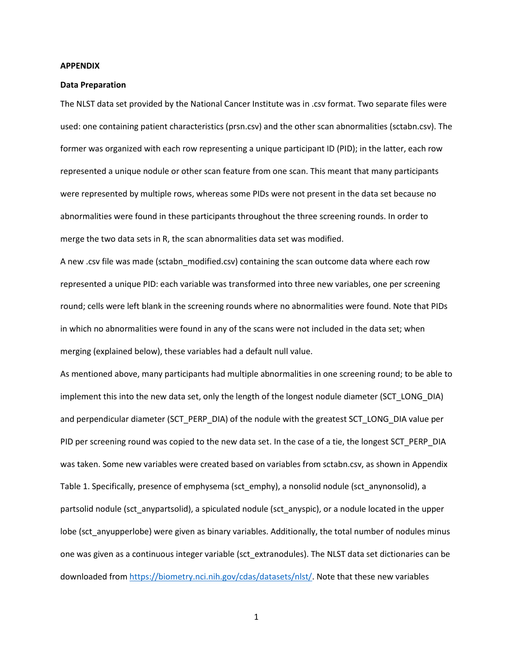## **APPENDIX**

## **Data Preparation**

The NLST data set provided by the National Cancer Institute was in .csv format. Two separate files were used: one containing patient characteristics (prsn.csv) and the other scan abnormalities (sctabn.csv). The former was organized with each row representing a unique participant ID (PID); in the latter, each row represented a unique nodule or other scan feature from one scan. This meant that many participants were represented by multiple rows, whereas some PIDs were not present in the data set because no abnormalities were found in these participants throughout the three screening rounds. In order to merge the two data sets in R, the scan abnormalities data set was modified.

A new .csv file was made (sctabn\_modified.csv) containing the scan outcome data where each row represented a unique PID: each variable was transformed into three new variables, one per screening round; cells were left blank in the screening rounds where no abnormalities were found. Note that PIDs in which no abnormalities were found in any of the scans were not included in the data set; when merging (explained below), these variables had a default null value.

As mentioned above, many participants had multiple abnormalities in one screening round; to be able to implement this into the new data set, only the length of the longest nodule diameter (SCT\_LONG\_DIA) and perpendicular diameter (SCT\_PERP\_DIA) of the nodule with the greatest SCT\_LONG\_DIA value per PID per screening round was copied to the new data set. In the case of a tie, the longest SCT\_PERP\_DIA was taken. Some new variables were created based on variables from sctabn.csv, as shown in Appendix Table 1. Specifically, presence of emphysema (sct\_emphy), a nonsolid nodule (sct\_anynonsolid), a partsolid nodule (sct\_anypartsolid), a spiculated nodule (sct\_anyspic), or a nodule located in the upper lobe (sct\_anyupperlobe) were given as binary variables. Additionally, the total number of nodules minus one was given as a continuous integer variable (sct\_extranodules). The NLST data set dictionaries can be downloaded fro[m https://biometry.nci.nih.gov/cdas/datasets/nlst/.](https://biometry.nci.nih.gov/cdas/datasets/nlst/) Note that these new variables

1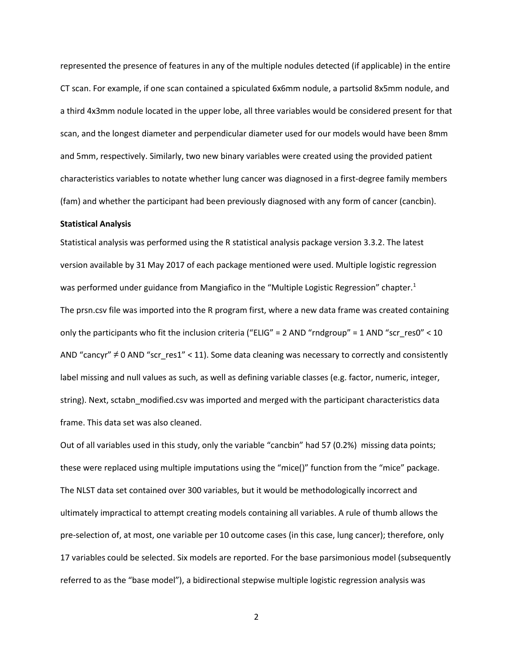represented the presence of features in any of the multiple nodules detected (if applicable) in the entire CT scan. For example, if one scan contained a spiculated 6x6mm nodule, a partsolid 8x5mm nodule, and a third 4x3mm nodule located in the upper lobe, all three variables would be considered present for that scan, and the longest diameter and perpendicular diameter used for our models would have been 8mm and 5mm, respectively. Similarly, two new binary variables were created using the provided patient characteristics variables to notate whether lung cancer was diagnosed in a first-degree family members (fam) and whether the participant had been previously diagnosed with any form of cancer (cancbin).

## **Statistical Analysis**

Statistical analysis was performed using the R statistical analysis package version 3.3.2. The latest version available by 31 May 2017 of each package mentioned were used. Multiple logistic regression was performed under guidance from Mangiafico in the "Multiple Logistic Regression" chapter.<sup>1</sup> The prsn.csv file was imported into the R program first, where a new data frame was created containing only the participants who fit the inclusion criteria ("ELIG" = 2 AND "rndgroup" = 1 AND "scr\_res0" < 10 AND "cancyr" ≠ 0 AND "scr\_res1" < 11). Some data cleaning was necessary to correctly and consistently label missing and null values as such, as well as defining variable classes (e.g. factor, numeric, integer, string). Next, sctabn\_modified.csv was imported and merged with the participant characteristics data frame. This data set was also cleaned.

Out of all variables used in this study, only the variable "cancbin" had 57 (0.2%) missing data points; these were replaced using multiple imputations using the "mice()" function from the "mice" package. The NLST data set contained over 300 variables, but it would be methodologically incorrect and ultimately impractical to attempt creating models containing all variables. A rule of thumb allows the pre-selection of, at most, one variable per 10 outcome cases (in this case, lung cancer); therefore, only 17 variables could be selected. Six models are reported. For the base parsimonious model (subsequently referred to as the "base model"), a bidirectional stepwise multiple logistic regression analysis was

2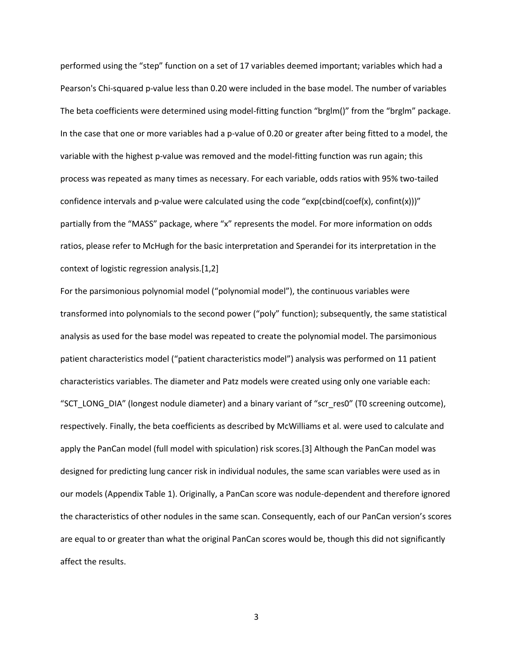performed using the "step" function on a set of 17 variables deemed important; variables which had a Pearson's Chi-squared p-value less than 0.20 were included in the base model. The number of variables The beta coefficients were determined using model-fitting function "brglm()" from the "brglm" package. In the case that one or more variables had a p-value of 0.20 or greater after being fitted to a model, the variable with the highest p-value was removed and the model-fitting function was run again; this process was repeated as many times as necessary. For each variable, odds ratios with 95% two-tailed confidence intervals and p-value were calculated using the code "exp(cbind(coef(x), confint(x)))" partially from the "MASS" package, where "x" represents the model. For more information on odds ratios, please refer to McHugh for the basic interpretation and Sperandei for its interpretation in the context of logistic regression analysis.[1,2]

For the parsimonious polynomial model ("polynomial model"), the continuous variables were transformed into polynomials to the second power ("poly" function); subsequently, the same statistical analysis as used for the base model was repeated to create the polynomial model. The parsimonious patient characteristics model ("patient characteristics model") analysis was performed on 11 patient characteristics variables. The diameter and Patz models were created using only one variable each: "SCT\_LONG\_DIA" (longest nodule diameter) and a binary variant of "scr\_res0" (T0 screening outcome), respectively. Finally, the beta coefficients as described by McWilliams et al. were used to calculate and apply the PanCan model (full model with spiculation) risk scores.[3] Although the PanCan model was designed for predicting lung cancer risk in individual nodules, the same scan variables were used as in our models (Appendix Table 1). Originally, a PanCan score was nodule-dependent and therefore ignored the characteristics of other nodules in the same scan. Consequently, each of our PanCan version's scores are equal to or greater than what the original PanCan scores would be, though this did not significantly affect the results.

3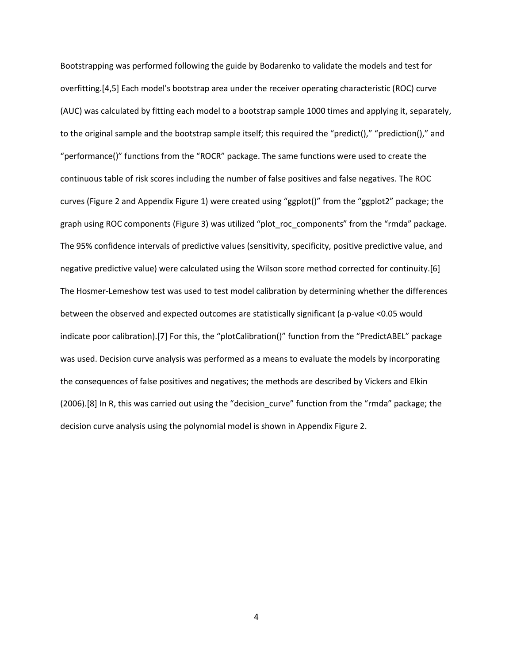Bootstrapping was performed following the guide by Bodarenko to validate the models and test for overfitting.[4,5] Each model's bootstrap area under the receiver operating characteristic (ROC) curve (AUC) was calculated by fitting each model to a bootstrap sample 1000 times and applying it, separately, to the original sample and the bootstrap sample itself; this required the "predict()," "prediction()," and "performance()" functions from the "ROCR" package. The same functions were used to create the continuous table of risk scores including the number of false positives and false negatives. The ROC curves (Figure 2 and Appendix Figure 1) were created using "ggplot()" from the "ggplot2" package; the graph using ROC components (Figure 3) was utilized "plot\_roc\_components" from the "rmda" package. The 95% confidence intervals of predictive values (sensitivity, specificity, positive predictive value, and negative predictive value) were calculated using the Wilson score method corrected for continuity.[6] The Hosmer-Lemeshow test was used to test model calibration by determining whether the differences between the observed and expected outcomes are statistically significant (a p-value <0.05 would indicate poor calibration).[7] For this, the "plotCalibration()" function from the "PredictABEL" package was used. Decision curve analysis was performed as a means to evaluate the models by incorporating the consequences of false positives and negatives; the methods are described by Vickers and Elkin (2006).[8] In R, this was carried out using the "decision\_curve" function from the "rmda" package; the decision curve analysis using the polynomial model is shown in Appendix Figure 2.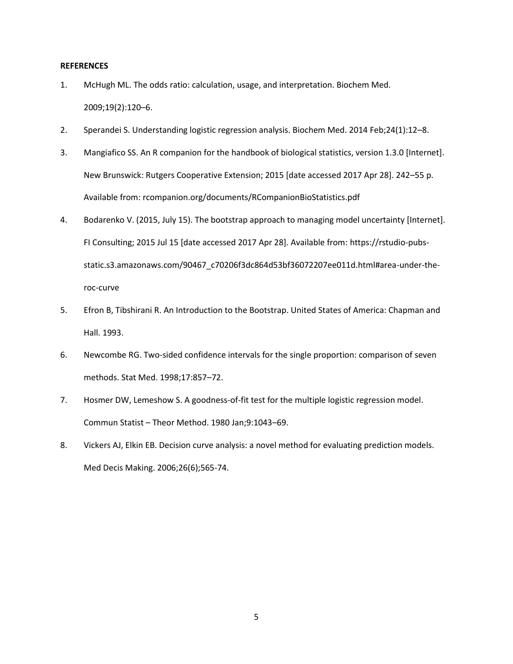## **REFERENCES**

- 1. McHugh ML. The odds ratio: calculation, usage, and interpretation. Biochem Med. 2009;19(2):120–6.
- 2. Sperandei S. Understanding logistic regression analysis. Biochem Med. 2014 Feb;24(1):12–8.
- 3. Mangiafico SS. An R companion for the handbook of biological statistics, version 1.3.0 [Internet]. New Brunswick: Rutgers Cooperative Extension; 2015 [date accessed 2017 Apr 28]. 242–55 p. Available from: rcompanion.org/documents/RCompanionBioStatistics.pdf
- 4. Bodarenko V. (2015, July 15). The bootstrap approach to managing model uncertainty [Internet]. FI Consulting; 2015 Jul 15 [date accessed 2017 Apr 28]. Available from: https://rstudio-pubsstatic.s3.amazonaws.com/90467\_c70206f3dc864d53bf36072207ee011d.html#area-under-theroc-curve
- 5. Efron B, Tibshirani R. An Introduction to the Bootstrap. United States of America: Chapman and Hall. 1993.
- 6. Newcombe RG. Two-sided confidence intervals for the single proportion: comparison of seven methods. Stat Med. 1998;17:857–72.
- 7. Hosmer DW, Lemeshow S. A goodness-of-fit test for the multiple logistic regression model. Commun Statist – Theor Method. 1980 Jan;9:1043–69.
- 8. Vickers AJ, Elkin EB. Decision curve analysis: a novel method for evaluating prediction models. Med Decis Making. 2006;26(6);565-74.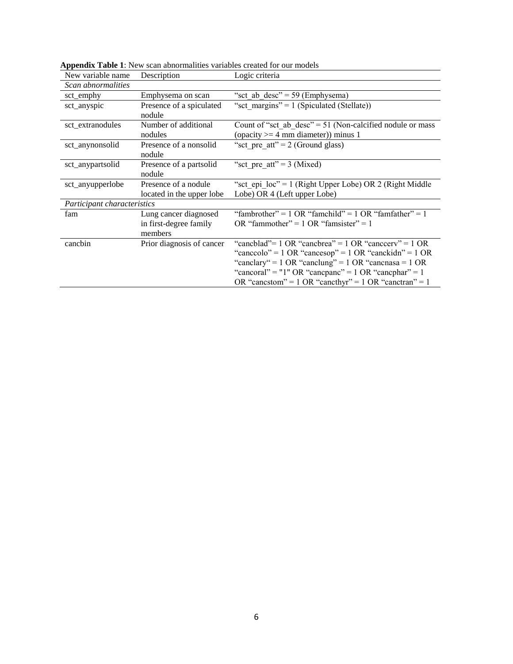| New variable name           | Description                        | Logic criteria                                                                                       |
|-----------------------------|------------------------------------|------------------------------------------------------------------------------------------------------|
| Scan abnormalities          |                                    |                                                                                                      |
| sct_emphy                   | Emphysema on scan                  | "sct ab $desc$ " = 59 (Emphysema)                                                                    |
| sct_anyspic                 | Presence of a spiculated<br>nodule | "sct margins" = $1$ (Spiculated (Stellate))                                                          |
| sct_extranodules            | Number of additional<br>nodules    | Count of "sct_ab_desc" = $51$ (Non-calcified nodule or mass<br>(opacity $>=$ 4 mm diameter)) minus 1 |
| sct_anynonsolid             | Presence of a nonsolid<br>nodule   | "sct_pre_att" = $2$ (Ground glass)                                                                   |
| sct_anypartsolid            | Presence of a partsolid<br>nodule  | "sct pre att" = $3$ (Mixed)                                                                          |
| sct_anyupperlobe            | Presence of a nodule               | "sct epi $loc$ " = 1 (Right Upper Lobe) OR 2 (Right Middle                                           |
|                             | located in the upper lobe          | Lobe) OR 4 (Left upper Lobe)                                                                         |
| Participant characteristics |                                    |                                                                                                      |
| fam                         | Lung cancer diagnosed              | "fambrother" = $1 \text{ OR }$ "famchild" = $1 \text{ OR }$ "famfather" = $1$                        |
|                             | in first-degree family             | OR "fammother" = $1$ OR "famsister" = $1$                                                            |
|                             | members                            |                                                                                                      |
| cancbin                     | Prior diagnosis of cancer          | "canchlad"= 1 OR "canchrea" = 1 OR "cancerry" = 1 OR                                                 |
|                             |                                    | "canceolo" = 1 OR "cancesop" = 1 OR "canckidn" = 1 OR                                                |
|                             |                                    | "canclary" = $1 \text{ OR }$ "canclung" = $1 \text{ OR }$ "cancnasa = $1 \text{ OR }$                |
|                             |                                    | "cancoral" = "1" OR "cancpanc" = 1 OR "cancphar" = 1                                                 |
|                             |                                    | OR "cancstom" = $1$ OR "cancthyr" = $1$ OR "canctran" = $1$                                          |

**Appendix Table 1**: New scan abnormalities variables created for our models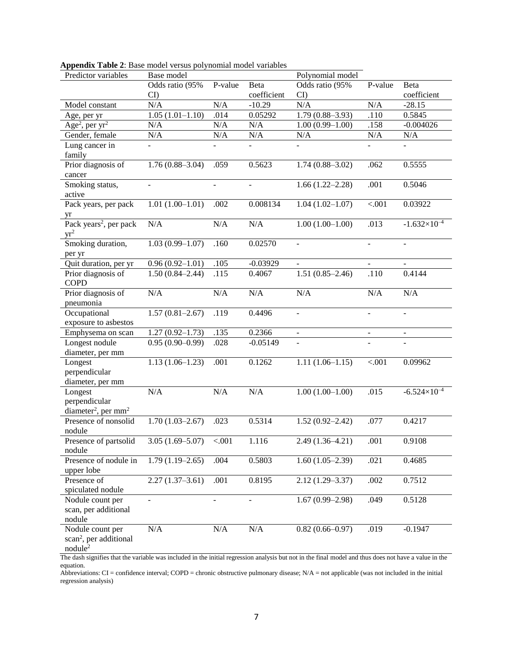| Predictor variables                                                                                                                                   | Base model<br>Polynomial model |                          |                          |                             |                          |                       |  |
|-------------------------------------------------------------------------------------------------------------------------------------------------------|--------------------------------|--------------------------|--------------------------|-----------------------------|--------------------------|-----------------------|--|
|                                                                                                                                                       | Odds ratio (95%                | P-value<br>Beta          |                          | Odds ratio (95%             | P-value                  | Beta                  |  |
|                                                                                                                                                       | CI                             |                          | coefficient              | CI                          |                          | coefficient           |  |
| Model constant                                                                                                                                        | N/A                            | N/A                      | $-10.29$                 | N/A                         | N/A                      | $-28.15$              |  |
| Age, per yr                                                                                                                                           | $1.05(1.01-1.10)$              | .014                     | 0.05292                  | $1.79(0.88 - 3.93)$<br>.110 |                          | 0.5845                |  |
| Age <sup>2</sup> , per $yr^2$                                                                                                                         | N/A                            | N/A                      | N/A                      | .158<br>$1.00(0.99 - 1.00)$ |                          | $-0.004026$           |  |
| Gender, female                                                                                                                                        | N/A                            | N/A                      | N/A                      | N/A                         | N/A                      | N/A                   |  |
| Lung cancer $\overline{\text{in}}$                                                                                                                    |                                |                          |                          |                             |                          |                       |  |
| family                                                                                                                                                |                                |                          |                          |                             |                          |                       |  |
| Prior diagnosis of                                                                                                                                    | $1.76(0.88 - 3.04)$            | .059                     | 0.5623                   | $1.74(0.88 - 3.02)$         | .062                     | 0.5555                |  |
| cancer                                                                                                                                                |                                |                          |                          |                             |                          |                       |  |
| Smoking status,                                                                                                                                       | $\overline{\phantom{0}}$       | $\overline{\phantom{a}}$ | $\overline{\phantom{a}}$ | $1.66(1.22 - 2.28)$         | .001                     | 0.5046                |  |
| active                                                                                                                                                |                                |                          |                          |                             |                          |                       |  |
| Pack years, per pack                                                                                                                                  | $1.01(1.00-1.01)$              | .002                     | 0.008134                 | $1.04(1.02 - 1.07)$         | < .001                   | 0.03922               |  |
| yr                                                                                                                                                    |                                |                          |                          |                             |                          |                       |  |
| Pack years <sup>2</sup> , per pack                                                                                                                    | N/A                            | $\rm N/A$                | N/A                      | $1.00(1.00-1.00)$           | .013                     | $-1.632\times10^{-4}$ |  |
| $yr^2$                                                                                                                                                |                                |                          |                          |                             |                          |                       |  |
| Smoking duration,                                                                                                                                     | $1.03(0.99 - 1.07)$            | .160                     | 0.02570                  | $\Box$                      | $\overline{\phantom{a}}$ | $\blacksquare$        |  |
| per yr                                                                                                                                                |                                |                          |                          |                             |                          |                       |  |
| Quit duration, per yr                                                                                                                                 | $0.96(0.92 - 1.01)$            | .105                     | $-0.03929$               | $\blacksquare$              | $\blacksquare$           | $\blacksquare$        |  |
| Prior diagnosis of                                                                                                                                    | $1.50(0.84 - 2.44)$            | .115                     | 0.4067                   | $1.51(0.85-2.46)$           | .110                     | 0.4144                |  |
| <b>COPD</b>                                                                                                                                           |                                |                          |                          |                             |                          |                       |  |
| Prior diagnosis of                                                                                                                                    | N/A                            | N/A                      | N/A                      | $\rm N/A$                   | $\rm N/A$                | N/A                   |  |
| pneumonia                                                                                                                                             |                                |                          |                          |                             |                          |                       |  |
| Occupational                                                                                                                                          | $1.57(0.81 - 2.67)$            | .119                     | 0.4496                   | $\overline{\phantom{a}}$    | $\overline{a}$           | $\blacksquare$        |  |
| exposure to asbestos                                                                                                                                  |                                |                          |                          |                             |                          |                       |  |
| Emphysema on scan                                                                                                                                     | $1.27(0.92 - 1.73)$            | .135                     | 0.2366                   | $\blacksquare$              | ÷                        | $\omega$              |  |
| Longest nodule                                                                                                                                        | $0.95(0.90-0.99)$              | .028                     | $-0.05149$               |                             |                          |                       |  |
| diameter, per mm                                                                                                                                      |                                |                          |                          |                             |                          |                       |  |
| Longest                                                                                                                                               | $1.13(1.06-1.23)$              | .001                     | 0.1262                   | $1.11(1.06-1.15)$           | < .001                   | 0.09962               |  |
| perpendicular                                                                                                                                         |                                |                          |                          |                             |                          |                       |  |
| diameter, per mm                                                                                                                                      |                                |                          |                          |                             |                          |                       |  |
| Longest                                                                                                                                               | N/A                            | N/A                      | N/A                      | $1.00(1.00-1.00)$           | .015                     | $-6.524\times10^{-4}$ |  |
| perpendicular                                                                                                                                         |                                |                          |                          |                             |                          |                       |  |
| diameter <sup>2</sup> , per mm <sup>2</sup>                                                                                                           |                                |                          |                          |                             |                          |                       |  |
| Presence of nonsolid                                                                                                                                  | $1.70(1.03 - 2.67)$            | .023                     | 0.5314                   | $1.52(0.92 - 2.42)$         | .077                     | 0.4217                |  |
| nodule                                                                                                                                                |                                |                          |                          |                             |                          |                       |  |
| Presence of partsolid                                                                                                                                 | $3.05(1.69 - 5.07)$            | < .001                   | 1.116                    | $2.49(1.36 - 4.21)$         | .001                     | 0.9108                |  |
| nodule                                                                                                                                                |                                |                          |                          |                             |                          |                       |  |
| Presence of nodule in                                                                                                                                 | $1.79(1.19-2.65)$              | .004                     | 0.5803                   | $1.60(1.05-2.39)$           | .021                     | 0.4685                |  |
| upper lobe                                                                                                                                            |                                |                          |                          |                             |                          |                       |  |
| Presence of                                                                                                                                           | $2.27(1.37-3.61)$              | .001                     | 0.8195                   | $2.12(1.29 - 3.37)$         | .002                     | 0.7512                |  |
| spiculated nodule                                                                                                                                     |                                |                          |                          |                             |                          |                       |  |
| Nodule count per                                                                                                                                      | $\blacksquare$                 | $\overline{\phantom{a}}$ | $\overline{\phantom{a}}$ | $1.67(0.99 - 2.98)$         | .049                     | 0.5128                |  |
| scan, per additional                                                                                                                                  |                                |                          |                          |                             |                          |                       |  |
| nodule                                                                                                                                                |                                |                          |                          |                             |                          |                       |  |
| Nodule count per                                                                                                                                      | N/A                            | N/A                      | N/A                      | $0.82(0.66 - 0.97)$         | .019                     | $-0.1947$             |  |
| scan <sup>2</sup> , per additional                                                                                                                    |                                |                          |                          |                             |                          |                       |  |
| nodule <sup>2</sup>                                                                                                                                   |                                |                          |                          |                             |                          |                       |  |
| The dash signifies that the variable was included in the initial regression analysis but not in the final model and thus does not have a value in the |                                |                          |                          |                             |                          |                       |  |

|  |                                                 | Appendix Table 2: Base model versus polynomial model variables |
|--|-------------------------------------------------|----------------------------------------------------------------|
|  | $\mathbf{D}$ 11 $\mathbf{D}$ 11 $\mathbf{D}$ 11 |                                                                |

equation. Abbreviations: CI = confidence interval; COPD = chronic obstructive pulmonary disease; N/A = not applicable (was not included in the initial regression analysis)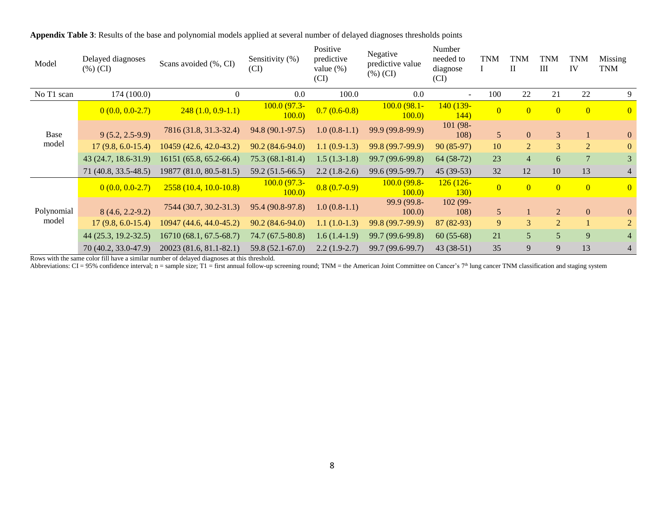| Model      | Delayed diagnoses<br>$(\%)$ (CI) | Scans avoided (%, CI)   | Sensitivity (%)<br>(CI) | Positive<br>predictive<br>value $(\%)$<br>(CI) | Negative<br>predictive value<br>$(\%)(CI)$ | Number<br>needed to<br>diagnose<br>(CI) | <b>TNM</b>     | <b>TNM</b><br>$\mathbf{I}$ | <b>TNM</b><br>III | TNM<br>IV      | Missing<br><b>TNM</b> |
|------------|----------------------------------|-------------------------|-------------------------|------------------------------------------------|--------------------------------------------|-----------------------------------------|----------------|----------------------------|-------------------|----------------|-----------------------|
| No T1 scan | 174 (100.0)                      | $\mathbf{0}$            | 0.0                     | 100.0                                          | 0.0                                        | $\sim$                                  | 100            | 22                         | 21                | 22             | 9                     |
|            | $0(0.0, 0.0-2.7)$                | $248(1.0, 0.9-1.1)$     | $100.0(97.3-$<br>100.0  | $0.7(0.6-0.8)$                                 | $100.0(98.1 -$<br>100.0                    | 140 (139-<br>144)                       | $\Omega$       | $\overline{0}$             | $\overline{0}$    | $\overline{0}$ | $\overline{0}$        |
| Base       | $9(5.2, 2.5-9.9)$                | 7816 (31.8, 31.3-32.4)  | 94.8 (90.1-97.5)        | $1.0(0.8-1.1)$                                 | 99.9 (99.8-99.9)                           | 101 (98-<br>108)                        | 5 <sup>5</sup> | $\overline{0}$             | $\overline{3}$    |                | $\overline{0}$        |
| model      | $17(9.8, 6.0-15.4)$              | 10459 (42.6, 42.0-43.2) | $90.2(84.6-94.0)$       | $1.1(0.9-1.3)$                                 | 99.8 (99.7-99.9)                           | $90(85-97)$                             | 10             | 2                          | 3                 | 2              | $\mathbf{0}$          |
|            | 43 (24.7, 18.6-31.9)             | 16151 (65.8, 65.2-66.4) | 75.3 (68.1-81.4)        | $1.5(1.3-1.8)$                                 | 99.7 (99.6-99.8)                           | $64(58-72)$                             | 23             | $\overline{4}$             | 6                 |                | 3                     |
|            | 71 (40.8, 33.5-48.5)             | 19877 (81.0, 80.5-81.5) | 59.2 (51.5-66.5)        | $2.2(1.8-2.6)$                                 | 99.6 (99.5-99.7)                           | $45(39-53)$                             | 32             | 12                         | 10                | 13             | 4                     |
|            | $0(0.0, 0.0-2.7)$                | $2558(10.4, 10.0-10.8)$ | $100.0(97.3-$<br>100.0  | $0.8(0.7-0.9)$                                 | <u>100.0 (99.8-</u><br>100.0               | $126(126 -$<br><b>130</b>               | $\overline{0}$ | $\overline{0}$             | $\overline{0}$    | $\overline{0}$ | $\overline{0}$        |
| Polynomial | $8(4.6, 2.2-9.2)$                | 7544 (30.7, 30.2-31.3)  | 95.4 (90.8-97.8)        | $1.0(0.8-1.1)$                                 | 99.9 (99.8-<br>100.0                       | $102(99 -$<br>108)                      | 5 <sup>5</sup> |                            | $\overline{2}$    | $\overline{0}$ | $\overline{0}$        |
| model      | $17(9.8, 6.0-15.4)$              | 10947 (44.6, 44.0-45.2) | $90.2(84.6-94.0)$       | $1.1(1.0-1.3)$                                 | 99.8 (99.7-99.9)                           | $87(82-93)$                             | 9              | 3                          | 2                 |                | $\overline{2}$        |
|            | 44 (25.3, 19.2-32.5)             | 16710 (68.1, 67.5-68.7) | 74.7 (67.5-80.8)        | $1.6(1.4-1.9)$                                 | 99.7 (99.6-99.8)                           | $60(55-68)$                             | 21             | 5                          | $\overline{5}$    | 9              | $\overline{4}$        |
|            | 70 (40.2, 33.0-47.9)             | 20023 (81.6, 81.1-82.1) | 59.8 (52.1-67.0)        | $2.2(1.9-2.7)$                                 | 99.7 (99.6-99.7)                           | $43(38-51)$                             | 35             | 9                          | 9                 | 13             | 4                     |

**Appendix Table 3**: Results of the base and polynomial models applied at several number of delayed diagnoses thresholds points

Rows with the same color fill have a similar number of delayed diagnoses at this threshold.

Abbreviations:  $CI = 95\%$  confidence interval; n = sample size; T1 = first annual follow-up screening round; TNM = the American Joint Committee on Cancer's 7<sup>th</sup> lung cancer TNM classification and staging system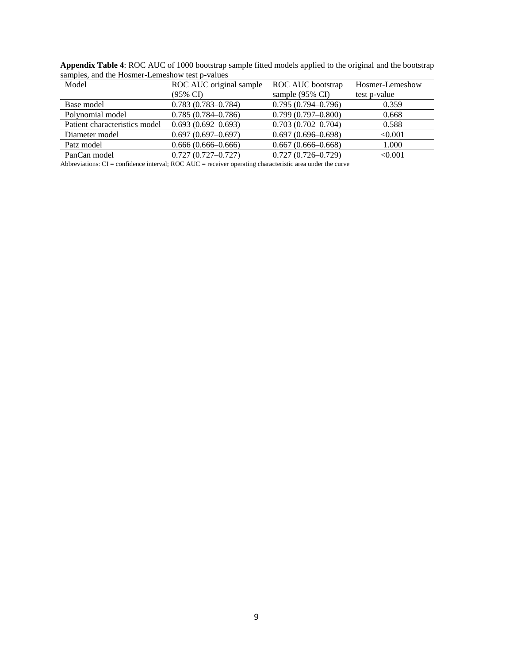| $\alpha$ $\beta$ $\beta$ $\gamma$ $\alpha$ $\beta$ $\gamma$ $\alpha$ $\beta$ $\gamma$ $\alpha$ $\beta$ $\gamma$ $\alpha$ $\alpha$ $\beta$ $\gamma$ $\alpha$ $\alpha$ $\beta$ $\gamma$<br>Model | ROC AUC original sample | ROC AUC bootstrap      | Hosmer-Lemeshow |  |
|------------------------------------------------------------------------------------------------------------------------------------------------------------------------------------------------|-------------------------|------------------------|-----------------|--|
|                                                                                                                                                                                                | (95% CI)                | sample (95% CI)        | test p-value    |  |
| Base model                                                                                                                                                                                     | $0.783(0.783 - 0.784)$  | $0.795(0.794 - 0.796)$ | 0.359           |  |
| Polynomial model                                                                                                                                                                               | $0.785(0.784 - 0.786)$  | $0.799(0.797 - 0.800)$ | 0.668           |  |
| Patient characteristics model                                                                                                                                                                  | $0.693(0.692 - 0.693)$  | $0.703(0.702 - 0.704)$ | 0.588           |  |
| Diameter model                                                                                                                                                                                 | $0.697(0.697-0.697)$    | $0.697(0.696 - 0.698)$ | < 0.001         |  |
| Patz model                                                                                                                                                                                     | $0.666(0.666-0.666)$    | $0.667(0.666 - 0.668)$ | 1.000           |  |
| PanCan model                                                                                                                                                                                   | $0.727(0.727 - 0.727)$  | $0.727(0.726 - 0.729)$ | < 0.001         |  |

**Appendix Table 4**: ROC AUC of 1000 bootstrap sample fitted models applied to the original and the bootstrap samples, and the Hosmer-Lemeshow test p-values

Abbreviations: CI = confidence interval; ROC AUC = receiver operating characteristic area under the curve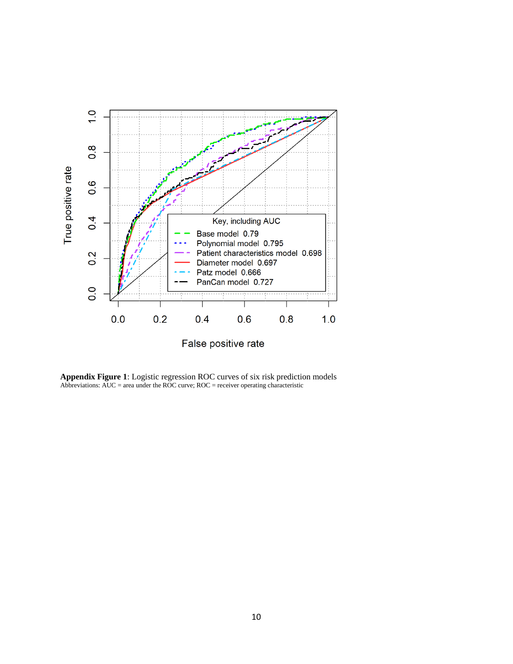

**Appendix Figure 1**: Logistic regression ROC curves of six risk prediction models Abbreviations:  $AUC = area$  under the ROC curve;  $ROC = receiver$  operating characteristic